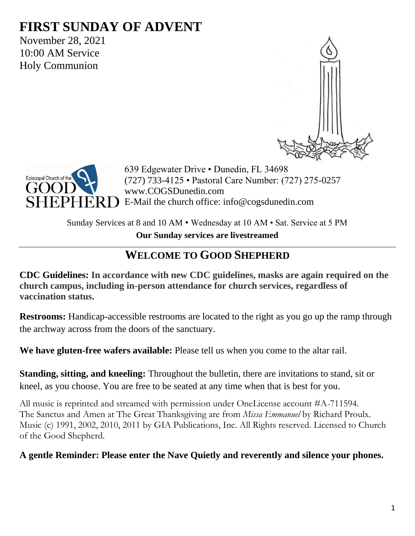# **FIRST SUNDAY OF ADVENT**

November 28, 2021 10:00 AM Service Holy Communion





639 Edgewater Drive • Dunedin, FL 34698 (727) 733-4125 • Pastoral Care Number: (727) 275-0257 www.COGSDunedin.com E-Mail the church office: info@cogsdunedin.com

Sunday Services at 8 and 10 AM • Wednesday at 10 AM • Sat. Service at 5 PM **Our Sunday services are livestreamed**

# **WELCOME TO GOOD SHEPHERD**

**CDC Guidelines: In accordance with new CDC guidelines, masks are again required on the church campus, including in-person attendance for church services, regardless of vaccination status.**

**Restrooms:** Handicap-accessible restrooms are located to the right as you go up the ramp through the archway across from the doors of the sanctuary.

**We have gluten-free wafers available:** Please tell us when you come to the altar rail.

**Standing, sitting, and kneeling:** Throughout the bulletin, there are invitations to stand, sit or kneel, as you choose. You are free to be seated at any time when that is best for you.

All music is reprinted and streamed with permission under OneLicense account #A-711594. The Sanctus and Amen at The Great Thanksgiving are from *Missa Emmanuel* by Richard Proulx. Music (c) 1991, 2002, 2010, 2011 by GIA Publications, Inc. All Rights reserved. Licensed to Church of the Good Shepherd.

**A gentle Reminder: Please enter the Nave Quietly and reverently and silence your phones.**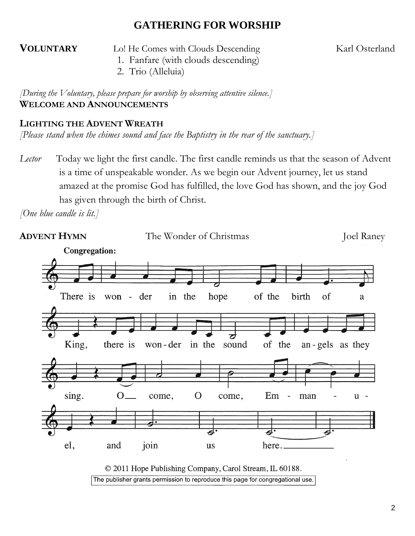# **GATHERING FOR WORSHIP**

**VOLUNTARY** Lo! He Comes with Clouds Descending Karl Osterland

- 1. Fanfare (with clouds descending)
- 2. Trio (Alleluia)

*[During the Voluntary, please prepare for worship by observing attentive silence.]* **WELCOME AND ANNOUNCEMENTS**

#### **LIGHTING THE ADVENT WREATH**

*[Please stand when the chimes sound and face the Baptistry in the rear of the sanctuary.]*

*Lector* Today we light the first candle. The first candle reminds us that the season of Advent is a time of unspeakable wonder. As we begin our Advent journey, let us stand amazed at the promise God has fulfilled, the love God has shown, and the joy God has given through the birth of Christ.

*[One blue candle is lit.]*

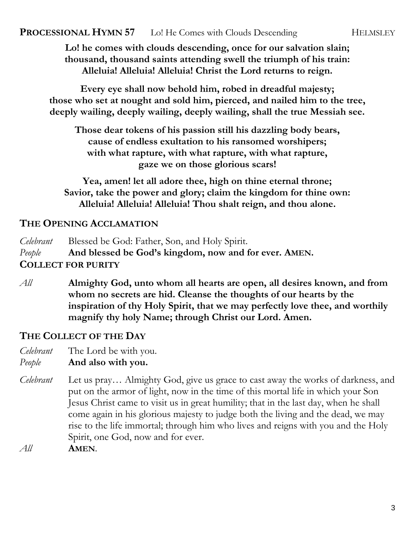#### **PROCESSIONAL HYMN 57** Lo! He Comes with Clouds Descending HELMSLEY

**Lo! he comes with clouds descending, once for our salvation slain; thousand, thousand saints attending swell the triumph of his train: Alleluia! Alleluia! Alleluia! Christ the Lord returns to reign.**

**Every eye shall now behold him, robed in dreadful majesty; those who set at nought and sold him, pierced, and nailed him to the tree, deeply wailing, deeply wailing, deeply wailing, shall the true Messiah see.**

**Those dear tokens of his passion still his dazzling body bears, cause of endless exultation to his ransomed worshipers; with what rapture, with what rapture, with what rapture, gaze we on those glorious scars!**

**Yea, amen! let all adore thee, high on thine eternal throne; Savior, take the power and glory; claim the kingdom for thine own: Alleluia! Alleluia! Alleluia! Thou shalt reign, and thou alone.**

## **THE OPENING ACCLAMATION**

*Celebrant* Blessed be God: Father, Son, and Holy Spirit. *People* **And blessed be God's kingdom, now and for ever. AMEN. COLLECT FOR PURITY**

*All* **Almighty God, unto whom all hearts are open, all desires known, and from whom no secrets are hid. Cleanse the thoughts of our hearts by the inspiration of thy Holy Spirit, that we may perfectly love thee, and worthily magnify thy holy Name; through Christ our Lord. Amen.**

## **THE COLLECT OF THE DAY**

*Celebrant* The Lord be with you.

- *People* **And also with you.**
- *Celebrant* Let us pray… Almighty God, give us grace to cast away the works of darkness, and put on the armor of light, now in the time of this mortal life in which your Son Jesus Christ came to visit us in great humility; that in the last day, when he shall come again in his glorious majesty to judge both the living and the dead, we may rise to the life immortal; through him who lives and reigns with you and the Holy Spirit, one God, now and for ever.
- *All* **AMEN**.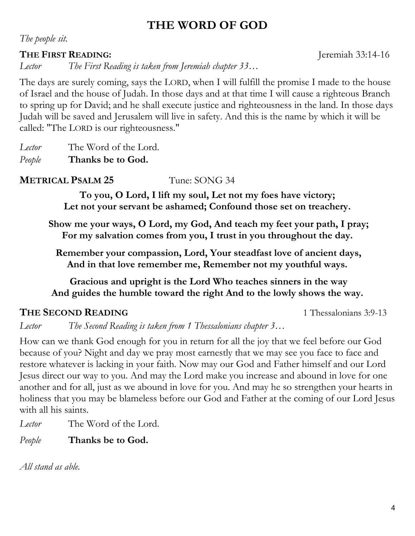# **THE WORD OF GOD**

*The people sit.*

#### **THE FIRST READING:** Jeremiah 33:14-16

*Lector The First Reading is taken from Jeremiah chapter 33…*

The days are surely coming, says the LORD, when I will fulfill the promise I made to the house of Israel and the house of Judah. In those days and at that time I will cause a righteous Branch to spring up for David; and he shall execute justice and righteousness in the land. In those days Judah will be saved and Jerusalem will live in safety. And this is the name by which it will be called: "The LORD is our righteousness."

*Lector* The Word of the Lord.

*People* **Thanks be to God.**

**METRICAL PSALM 25** Tune: SONG 34

**To you, O Lord, I lift my soul, Let not my foes have victory; Let not your servant be ashamed; Confound those set on treachery.**

**Show me your ways, O Lord, my God, And teach my feet your path, I pray; For my salvation comes from you, I trust in you throughout the day.**

**Remember your compassion, Lord, Your steadfast love of ancient days, And in that love remember me, Remember not my youthful ways.**

**Gracious and upright is the Lord Who teaches sinners in the way And guides the humble toward the right And to the lowly shows the way.**

# **THE SECOND READING** 1 Thessalonians 3:9-13

*Lector The Second Reading is taken from 1 Thessalonians chapter 3…*

How can we thank God enough for you in return for all the joy that we feel before our God because of you? Night and day we pray most earnestly that we may see you face to face and restore whatever is lacking in your faith. Now may our God and Father himself and our Lord Jesus direct our way to you. And may the Lord make you increase and abound in love for one another and for all, just as we abound in love for you. And may he so strengthen your hearts in holiness that you may be blameless before our God and Father at the coming of our Lord Jesus with all his saints.

*Lector* The Word of the Lord.

*People* **Thanks be to God.**

*All stand as able.*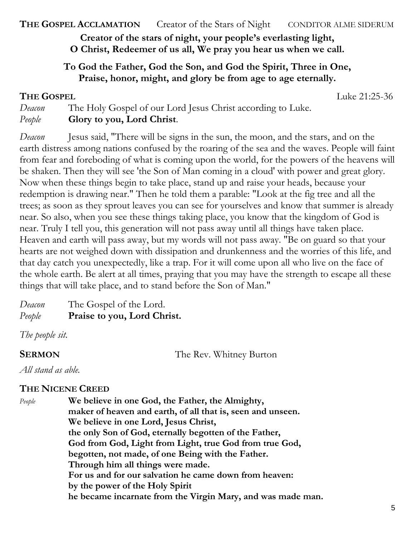## **Creator of the stars of night, your people's everlasting light, O Christ, Redeemer of us all, We pray you hear us when we call.**

#### **To God the Father, God the Son, and God the Spirit, Three in One, Praise, honor, might, and glory be from age to age eternally.**

**THE GOSPEL** Luke 21:25-36

*Deacon* The Holy Gospel of our Lord Jesus Christ according to Luke. *People* **Glory to you, Lord Christ**.

*Deacon* Jesus said, "There will be signs in the sun, the moon, and the stars, and on the earth distress among nations confused by the roaring of the sea and the waves. People will faint from fear and foreboding of what is coming upon the world, for the powers of the heavens will be shaken. Then they will see 'the Son of Man coming in a cloud' with power and great glory. Now when these things begin to take place, stand up and raise your heads, because your redemption is drawing near." Then he told them a parable: "Look at the fig tree and all the trees; as soon as they sprout leaves you can see for yourselves and know that summer is already near. So also, when you see these things taking place, you know that the kingdom of God is near. Truly I tell you, this generation will not pass away until all things have taken place. Heaven and earth will pass away, but my words will not pass away. "Be on guard so that your hearts are not weighed down with dissipation and drunkenness and the worries of this life, and that day catch you unexpectedly, like a trap. For it will come upon all who live on the face of the whole earth. Be alert at all times, praying that you may have the strength to escape all these things that will take place, and to stand before the Son of Man."

| Deacon | The Gospel of the Lord.     |
|--------|-----------------------------|
| People | Praise to you, Lord Christ. |

*The people sit.*

**SERMON** The Rev. Whitney Burton

*All stand as able.*

### **THE NICENE CREED**

| People | We believe in one God, the Father, the Almighty,            |
|--------|-------------------------------------------------------------|
|        | maker of heaven and earth, of all that is, seen and unseen. |
|        | We believe in one Lord, Jesus Christ,                       |
|        | the only Son of God, eternally begotten of the Father,      |
|        | God from God, Light from Light, true God from true God,     |
|        | begotten, not made, of one Being with the Father.           |
|        | Through him all things were made.                           |
|        | For us and for our salvation he came down from heaven:      |
|        | by the power of the Holy Spirit                             |
|        | he became incarnate from the Virgin Mary, and was made man. |
|        |                                                             |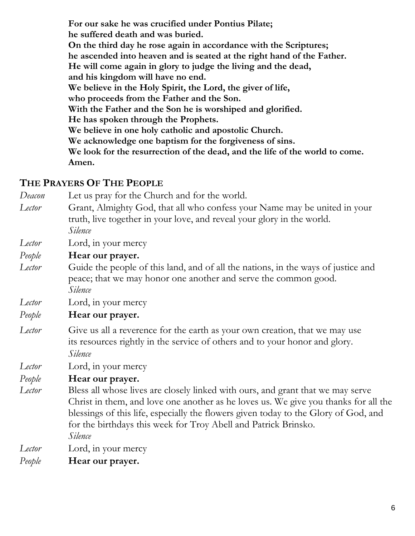**For our sake he was crucified under Pontius Pilate; he suffered death and was buried. On the third day he rose again in accordance with the Scriptures; he ascended into heaven and is seated at the right hand of the Father. He will come again in glory to judge the living and the dead, and his kingdom will have no end. We believe in the Holy Spirit, the Lord, the giver of life, who proceeds from the Father and the Son. With the Father and the Son he is worshiped and glorified. He has spoken through the Prophets. We believe in one holy catholic and apostolic Church. We acknowledge one baptism for the forgiveness of sins. We look for the resurrection of the dead, and the life of the world to come. Amen.**

#### **THE PRAYERS OF THE PEOPLE**

*Deacon* Let us pray for the Church and for the world. *Lector* Grant, Almighty God, that all who confess your Name may be united in your truth, live together in your love, and reveal your glory in the world. *Silence Lector* Lord, in your mercy *People* **Hear our prayer.** *Lector* Guide the people of this land, and of all the nations, in the ways of justice and peace; that we may honor one another and serve the common good. *Silence Lector* Lord, in your mercy *People* **Hear our prayer.** *Lector* Give us all a reverence for the earth as your own creation, that we may use its resources rightly in the service of others and to your honor and glory. *Silence Lector* Lord, in your mercy *People* **Hear our prayer.** *Lector* Bless all whose lives are closely linked with ours, and grant that we may serve Christ in them, and love one another as he loves us. We give you thanks for all the blessings of this life, especially the flowers given today to the Glory of God, and for the birthdays this week for Troy Abell and Patrick Brinsko*. Silence Lector* Lord, in your mercy *People* **Hear our prayer.**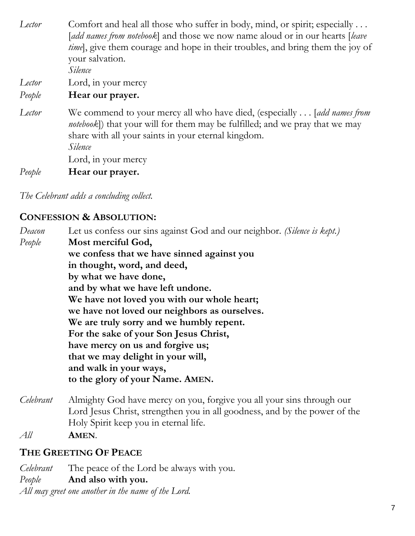| Lector | Comfort and heal all those who suffer in body, mind, or spirit; especially<br>[add names from notebook] and those we now name aloud or in our hearts [leave<br><i>time</i> , give them courage and hope in their troubles, and bring them the joy of<br>your salvation.<br>Silence |
|--------|------------------------------------------------------------------------------------------------------------------------------------------------------------------------------------------------------------------------------------------------------------------------------------|
| Lector | Lord, in your mercy                                                                                                                                                                                                                                                                |
| People | Hear our prayer.                                                                                                                                                                                                                                                                   |
| Lector | We commend to your mercy all who have died, (especially $\dots$ [add names from<br><i>notebook</i> ]) that your will for them may be fulfilled; and we pray that we may<br>share with all your saints in your eternal kingdom.<br>Silence<br>Lord, in your mercy                   |
| People | Hear our prayer.                                                                                                                                                                                                                                                                   |
|        |                                                                                                                                                                                                                                                                                    |

*The Celebrant adds a concluding collect.* 

## **CONFESSION & ABSOLUTION:**

*Deacon* Let us confess our sins against God and our neighbor. *(Silence is kept.) People* **Most merciful God, we confess that we have sinned against you in thought, word, and deed, by what we have done, and by what we have left undone. We have not loved you with our whole heart; we have not loved our neighbors as ourselves. We are truly sorry and we humbly repent. For the sake of your Son Jesus Christ, have mercy on us and forgive us; that we may delight in your will, and walk in your ways, to the glory of your Name. AMEN.**

*Celebrant* Almighty God have mercy on you, forgive you all your sins through our Lord Jesus Christ, strengthen you in all goodness, and by the power of the Holy Spirit keep you in eternal life.

*All* **AMEN**.

## **THE GREETING OF PEACE**

*Celebrant* The peace of the Lord be always with you.

*People* **And also with you.** 

*All may greet one another in the name of the Lord.*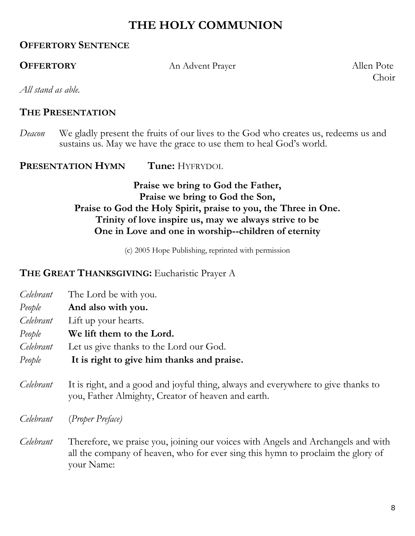# **THE HOLY COMMUNION**

## **OFFERTORY SENTENCE**

**OFFERTORY** An Advent Prayer Allen Pote

Choir

*All stand as able.*

## **THE PRESENTATION**

*Deacon* We gladly present the fruits of our lives to the God who creates us, redeems us and sustains us. May we have the grace to use them to heal God's world.

**PRESENTATION HYMN Tune:** HYFRYDOL

### **Praise we bring to God the Father, Praise we bring to God the Son, Praise to God the Holy Spirit, praise to you, the Three in One. Trinity of love inspire us, may we always strive to be One in Love and one in worship--children of eternity**

(c) 2005 Hope Publishing, reprinted with permission

### **THE GREAT THANKSGIVING:** Eucharistic Prayer A

| Celebrant<br>People<br>Celebrant<br>People<br>Celebrant | The Lord be with you.<br>And also with you.<br>Lift up your hearts.<br>We lift them to the Lord.<br>Let us give thanks to the Lord our God.                                       |
|---------------------------------------------------------|-----------------------------------------------------------------------------------------------------------------------------------------------------------------------------------|
| People                                                  | It is right to give him thanks and praise.                                                                                                                                        |
| Celebrant                                               | It is right, and a good and joyful thing, always and everywhere to give thanks to<br>you, Father Almighty, Creator of heaven and earth.                                           |
| Celebrant                                               | <i>(Proper Preface)</i>                                                                                                                                                           |
| Celebrant                                               | Therefore, we praise you, joining our voices with Angels and Archangels and with<br>all the company of heaven, who for ever sing this hymn to proclaim the glory of<br>your Name: |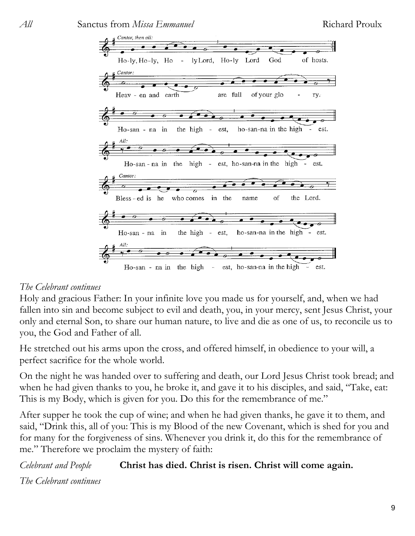

#### *The Celebrant continues*

Holy and gracious Father: In your infinite love you made us for yourself, and, when we had fallen into sin and become subject to evil and death, you, in your mercy, sent Jesus Christ, your only and eternal Son, to share our human nature, to live and die as one of us, to reconcile us to you, the God and Father of all.

He stretched out his arms upon the cross, and offered himself, in obedience to your will, a perfect sacrifice for the whole world.

On the night he was handed over to suffering and death, our Lord Jesus Christ took bread; and when he had given thanks to you, he broke it, and gave it to his disciples, and said, "Take, eat: This is my Body, which is given for you. Do this for the remembrance of me."

After supper he took the cup of wine; and when he had given thanks, he gave it to them, and said, "Drink this, all of you: This is my Blood of the new Covenant, which is shed for you and for many for the forgiveness of sins. Whenever you drink it, do this for the remembrance of me." Therefore we proclaim the mystery of faith:

*Celebrant and People* **Christ has died. Christ is risen. Christ will come again.**

*The Celebrant continues*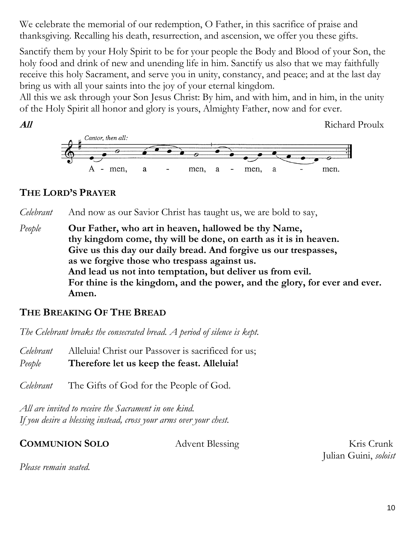We celebrate the memorial of our redemption, O Father, in this sacrifice of praise and thanksgiving. Recalling his death, resurrection, and ascension, we offer you these gifts.

Sanctify them by your Holy Spirit to be for your people the Body and Blood of your Son, the holy food and drink of new and unending life in him. Sanctify us also that we may faithfully receive this holy Sacrament, and serve you in unity, constancy, and peace; and at the last day bring us with all your saints into the joy of your eternal kingdom.

All this we ask through your Son Jesus Christ: By him, and with him, and in him, in the unity of the Holy Spirit all honor and glory is yours, Almighty Father, now and for ever.

**All** Richard Proulx



## **THE LORD'S PRAYER**

*Celebrant* And now as our Savior Christ has taught us, we are bold to say,

*People* **Our Father, who art in heaven, hallowed be thy Name, thy kingdom come, thy will be done, on earth as it is in heaven. Give us this day our daily bread. And forgive us our trespasses, as we forgive those who trespass against us. And lead us not into temptation, but deliver us from evil. For thine is the kingdom, and the power, and the glory, for ever and ever. Amen.**

# **THE BREAKING OF THE BREAD**

*The Celebrant breaks the consecrated bread. A period of silence is kept.*

*Celebrant* Alleluia! Christ our Passover is sacrificed for us;

*People* **Therefore let us keep the feast. Alleluia!**

*Celebrant* The Gifts of God for the People of God.

*All are invited to receive the Sacrament in one kind. If you desire a blessing instead, cross your arms over your chest.*

# **COMMUNION SOLO** Advent Blessing Kris Crunk

Julian Guini, *soloist*

*Please remain seated.*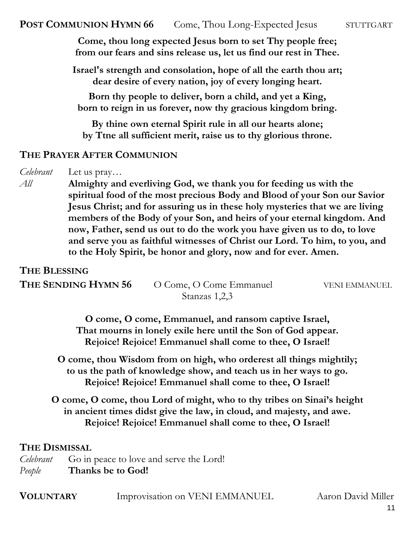**Come, thou long expected Jesus born to set Thy people free; from our fears and sins release us, let us find our rest in Thee.**

**Israel's strength and consolation, hope of all the earth thou art; dear desire of every nation, joy of every longing heart.**

**Born thy people to deliver, born a child, and yet a King, born to reign in us forever, now thy gracious kingdom bring.**

**By thine own eternal Spirit rule in all our hearts alone; by Ttne all sufficient merit, raise us to thy glorious throne.**

#### **THE PRAYER AFTER COMMUNION**

*Celebrant* Let us pray…

*All* **Almighty and everliving God, we thank you for feeding us with the spiritual food of the most precious Body and Blood of your Son our Savior Jesus Christ; and for assuring us in these holy mysteries that we are living members of the Body of your Son, and heirs of your eternal kingdom. And now, Father, send us out to do the work you have given us to do, to love and serve you as faithful witnesses of Christ our Lord. To him, to you, and to the Holy Spirit, be honor and glory, now and for ever. Amen.**

**THE BLESSING**

**THE SENDING HYMN 56** O Come, O Come Emmanuel VENI EMMANUEL Stanzas 1,2,3

**O come, O come, Emmanuel, and ransom captive Israel, That mourns in lonely exile here until the Son of God appear. Rejoice! Rejoice! Emmanuel shall come to thee, O Israel!** 

**O come, thou Wisdom from on high, who orderest all things mightily; to us the path of knowledge show, and teach us in her ways to go. Rejoice! Rejoice! Emmanuel shall come to thee, O Israel!** 

**O come, O come, thou Lord of might, who to thy tribes on Sinai's height in ancient times didst give the law, in cloud, and majesty, and awe. Rejoice! Rejoice! Emmanuel shall come to thee, O Israel!** 

#### **THE DISMISSAL**

*Celebrant* Go in peace to love and serve the Lord! *People* **Thanks be to God!**